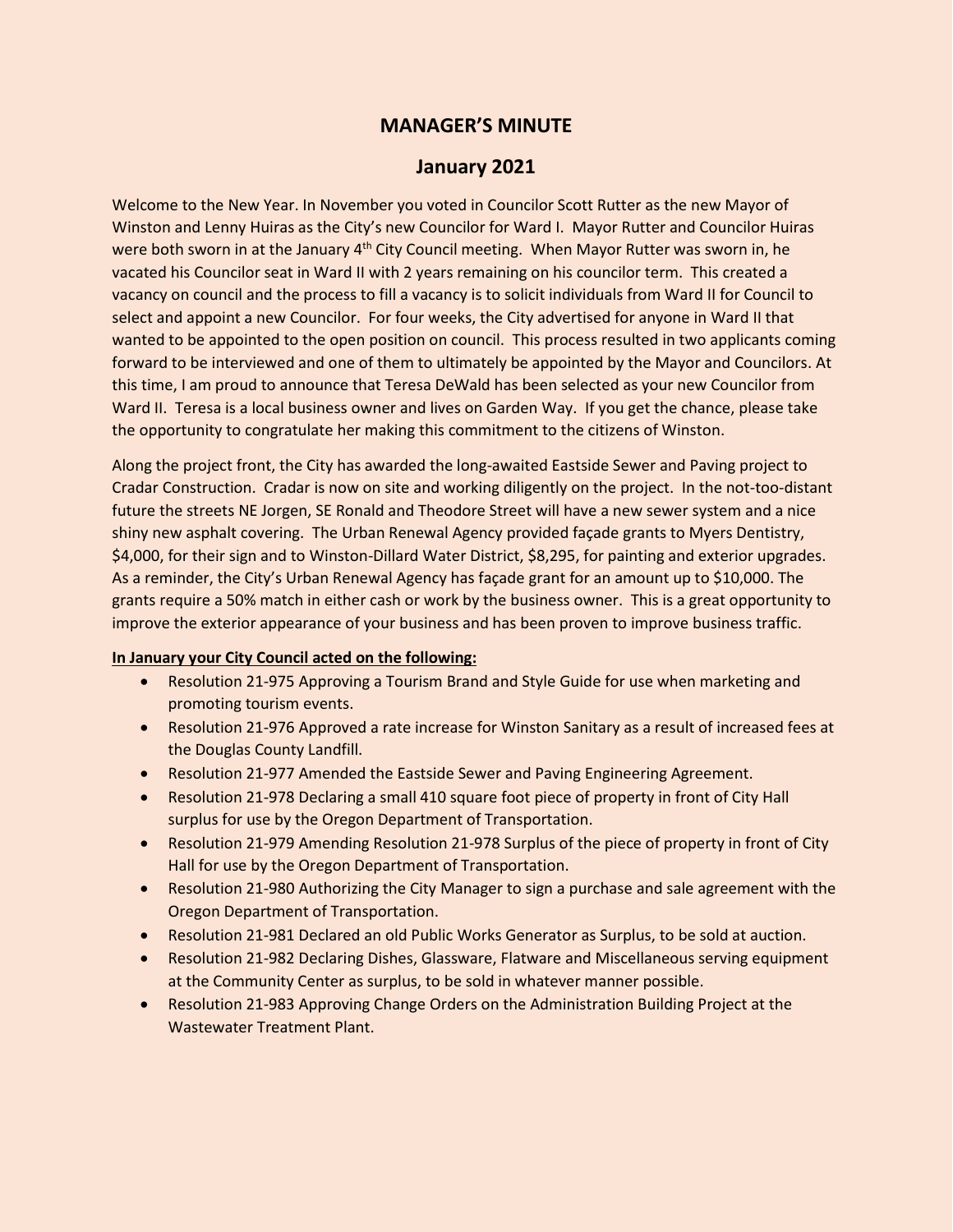## **MANAGER'S MINUTE**

## **January 2021**

Welcome to the New Year. In November you voted in Councilor Scott Rutter as the new Mayor of Winston and Lenny Huiras as the City's new Councilor for Ward I. Mayor Rutter and Councilor Huiras were both sworn in at the January  $4<sup>th</sup>$  City Council meeting. When Mayor Rutter was sworn in, he vacated his Councilor seat in Ward II with 2 years remaining on his councilor term. This created a vacancy on council and the process to fill a vacancy is to solicit individuals from Ward II for Council to select and appoint a new Councilor. For four weeks, the City advertised for anyone in Ward II that wanted to be appointed to the open position on council. This process resulted in two applicants coming forward to be interviewed and one of them to ultimately be appointed by the Mayor and Councilors. At this time, I am proud to announce that Teresa DeWald has been selected as your new Councilor from Ward II. Teresa is a local business owner and lives on Garden Way. If you get the chance, please take the opportunity to congratulate her making this commitment to the citizens of Winston.

Along the project front, the City has awarded the long-awaited Eastside Sewer and Paving project to Cradar Construction. Cradar is now on site and working diligently on the project. In the not-too-distant future the streets NE Jorgen, SE Ronald and Theodore Street will have a new sewer system and a nice shiny new asphalt covering. The Urban Renewal Agency provided façade grants to Myers Dentistry, \$4,000, for their sign and to Winston-Dillard Water District, \$8,295, for painting and exterior upgrades. As a reminder, the City's Urban Renewal Agency has façade grant for an amount up to \$10,000. The grants require a 50% match in either cash or work by the business owner. This is a great opportunity to improve the exterior appearance of your business and has been proven to improve business traffic.

## **In January your City Council acted on the following:**

- Resolution 21-975 Approving a Tourism Brand and Style Guide for use when marketing and promoting tourism events.
- Resolution 21-976 Approved a rate increase for Winston Sanitary as a result of increased fees at the Douglas County Landfill.
- Resolution 21-977 Amended the Eastside Sewer and Paving Engineering Agreement.
- Resolution 21-978 Declaring a small 410 square foot piece of property in front of City Hall surplus for use by the Oregon Department of Transportation.
- Resolution 21-979 Amending Resolution 21-978 Surplus of the piece of property in front of City Hall for use by the Oregon Department of Transportation.
- Resolution 21-980 Authorizing the City Manager to sign a purchase and sale agreement with the Oregon Department of Transportation.
- Resolution 21-981 Declared an old Public Works Generator as Surplus, to be sold at auction.
- Resolution 21-982 Declaring Dishes, Glassware, Flatware and Miscellaneous serving equipment at the Community Center as surplus, to be sold in whatever manner possible.
- Resolution 21-983 Approving Change Orders on the Administration Building Project at the Wastewater Treatment Plant.